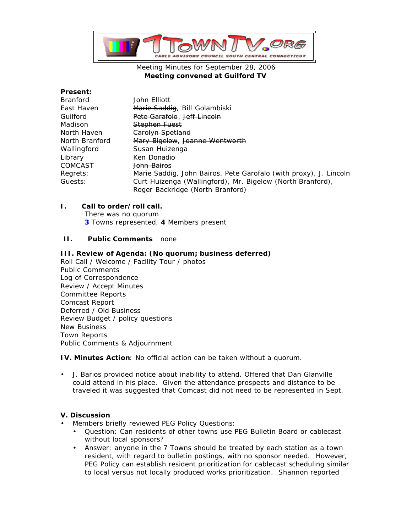

## Meeting Minutes for September 28, 2006 **Meeting convened at Guilford TV**

#### **Present:**

| Branford       | John Elliott                                                      |
|----------------|-------------------------------------------------------------------|
| East Haven     | Marie Saddig, Bill Golambiski                                     |
| Guilford       | Pete Garafolo, Jeff Lincoln                                       |
| Madison        | <b>Stephen Fuest</b>                                              |
| North Haven    | Carolyn Spetland                                                  |
| North Branford | Mary Bigelow, Joanne Wentworth                                    |
| Wallingford    | Susan Huizenga                                                    |
| Library        | Ken Donadio                                                       |
| COMCAST        | <del>John Bairos</del>                                            |
| Regrets:       | Marie Saddig, John Bairos, Pete Garofalo (with proxy), J. Lincoln |
| Guests:        | Curt Huizenga (Wallingford), Mr. Bigelow (North Branford),        |
|                | Roger Backridge (North Branford)                                  |

## **I. Call to order/roll call.**

There was no quorum **3** Towns represented, **4** Members present

## **II. Public Comments** none

#### **III. Review of Agenda: (No quorum; business deferred)**

Roll Call / Welcome / Facility Tour / photos Public Comments Log of Correspondence Review / Accept Minutes Committee Reports Comcast Report Deferred / Old Business Review Budget / policy questions New Business Town Reports Public Comments & Adjournment

**IV. Minutes Action**: No official action can be taken without a quorum.

• J. Barios provided notice about inability to attend. Offered that Dan Glanville could attend in his place. Given the attendance prospects and distance to be traveled it was suggested that Comcast did not need to be represented in Sept.

# **V. Discussion**

- Members briefly reviewed PEG Policy Questions:
	- Question: Can residents of other towns use PEG Bulletin Board or cablecast without local sponsors?
	- Answer: anyone in the 7 Towns should be treated by each station as a town resident, with regard to bulletin postings, with no sponsor needed. However, PEG Policy can establish resident prioritization for cablecast scheduling similar to local versus not locally produced works prioritization. Shannon reported